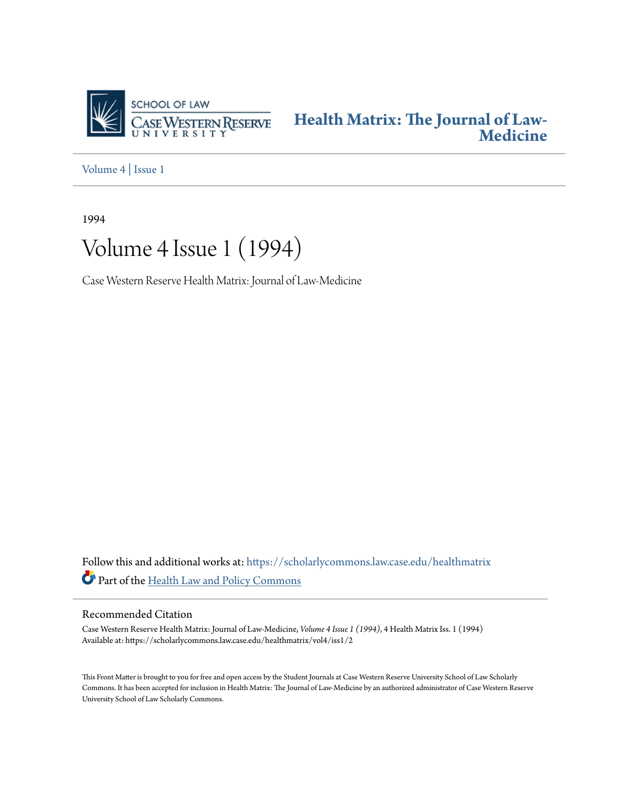

**[Health Matrix: The Journal of Law-](https://scholarlycommons.law.case.edu/healthmatrix?utm_source=scholarlycommons.law.case.edu%2Fhealthmatrix%2Fvol4%2Fiss1%2F2&utm_medium=PDF&utm_campaign=PDFCoverPages)[Medicine](https://scholarlycommons.law.case.edu/healthmatrix?utm_source=scholarlycommons.law.case.edu%2Fhealthmatrix%2Fvol4%2Fiss1%2F2&utm_medium=PDF&utm_campaign=PDFCoverPages)**

[Volume 4](https://scholarlycommons.law.case.edu/healthmatrix/vol4?utm_source=scholarlycommons.law.case.edu%2Fhealthmatrix%2Fvol4%2Fiss1%2F2&utm_medium=PDF&utm_campaign=PDFCoverPages) | [Issue 1](https://scholarlycommons.law.case.edu/healthmatrix/vol4/iss1?utm_source=scholarlycommons.law.case.edu%2Fhealthmatrix%2Fvol4%2Fiss1%2F2&utm_medium=PDF&utm_campaign=PDFCoverPages)

1994

# Volume 4 Issue 1 (1994)

Case Western Reserve Health Matrix: Journal of Law-Medicine

Follow this and additional works at: [https://scholarlycommons.law.case.edu/healthmatrix](https://scholarlycommons.law.case.edu/healthmatrix?utm_source=scholarlycommons.law.case.edu%2Fhealthmatrix%2Fvol4%2Fiss1%2F2&utm_medium=PDF&utm_campaign=PDFCoverPages) Part of the [Health Law and Policy Commons](http://network.bepress.com/hgg/discipline/901?utm_source=scholarlycommons.law.case.edu%2Fhealthmatrix%2Fvol4%2Fiss1%2F2&utm_medium=PDF&utm_campaign=PDFCoverPages)

#### Recommended Citation

Case Western Reserve Health Matrix: Journal of Law-Medicine, *Volume 4 Issue 1 (1994)*, 4 Health MatrixIss. 1 (1994) Available at: https://scholarlycommons.law.case.edu/healthmatrix/vol4/iss1/2

This Front Matter is brought to you for free and open access by the Student Journals at Case Western Reserve University School of Law Scholarly Commons. It has been accepted for inclusion in Health Matrix: The Journal of Law-Medicine by an authorized administrator of Case Western Reserve University School of Law Scholarly Commons.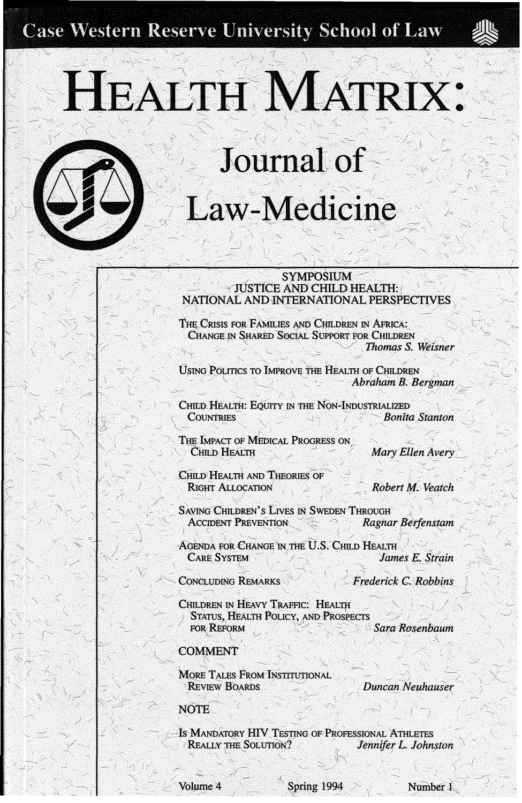**Case Western Reserve University School of Law** 



HEALTH MATRIX:



#### . SYMPOSIUM  $\times$ JUSTICE AND CHILD HEALTH: NATIONAL ANDJNTERNATIONAL PERSPECTIVES */* \ ' -,\_\_\_\_\_ \ ,- ' *(*

THE CRISIS FOR FAMILIES AND CHILDREN IN AFRICA: CHANGE IN SHARED SOCIAL SUPPORT FOR CHILDREN · ' */ Thomas S. Weisner* 

USING POLITICS TO IMPROVE THE HEALTH OF CHILDREN  $Abraham B. Bergman$ 

CHILD HEALTH: EQUITY IN THE NON-INDUSTRIALIZED COUNTRIES *COUNTRIES Bonita Stanton* 

THE IMPACT OF MEDICAL PROGRESS ON **CHILD HEALTH** / */ <sup>-</sup> / <i>Mary Ellen Avery* 

CHILD HEALTH AND THEORIES OF RIGHT ALLOCATION **12 1 1 1 1 1 1** *Robert M***. Veatch** 

SAVING CHILDREN'S LIVES IN SWEDEN THROUGH **in Accident PREVENTION** *Ragnar Berfenstam* 

'. --, ' '·,, .- - -· */* - ~..., *,:/·* ' AGENDA FOR CHANGE IN THE U.S. CHILD HEALTH CARE SYSTEM *CARE* SYSTEM *CARE* 

**CONCLUDING REMARKS** 

< *Frederick c. Robbins* 

--~ "'

CHILDREN IN HEAVY TRAFFIC: HEALTH **STATUS. HEALTH POLICY, AND PROSPECTS ... ... ··· ··** *Sara Rosenbaum* **...** *•***<br>FOR REFORM <b>:** 

#### **COMMENT**

MORE TALES FROM INSTITUTIONAL **REVIEW BOARDS** 

Duncan Neuhauser

**NOTE** 

/

Is MANDATORY HIV TESTING OF PROFESSIONAL ATHLETES REALLY THE SOLUTION? Jennifer L. Johnston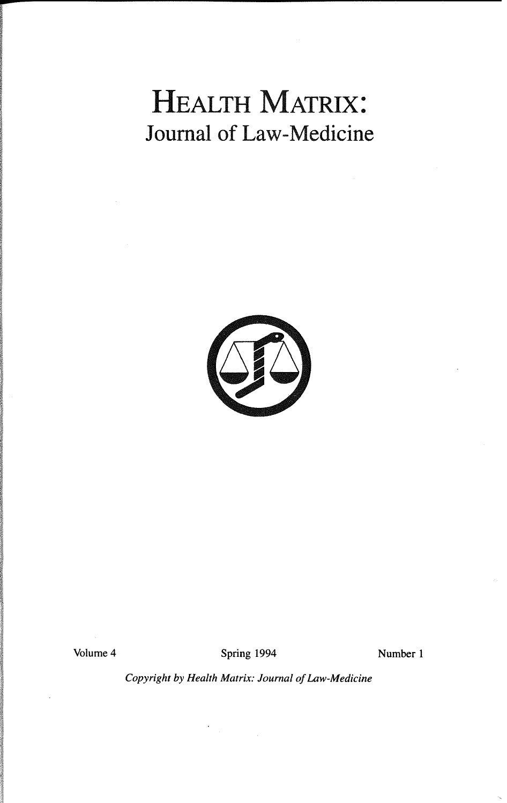# HEALTH MATRIX: Journal of Law-Medicine



Volume 4 Spring 1994 Number 1

*Copyright by Health Matrix: Journal of Law-Medicine*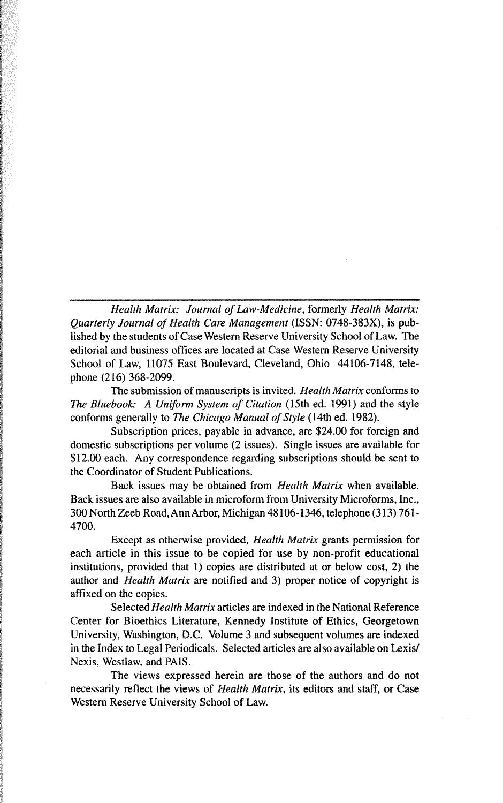*Health Matrix: Journal of Law-Medicine,* formerly *Health Matrix: Quarterly Journal of Health Care Management* (ISSN: 0748-383X), is published by the students of Case Western Reserve University School of Law. The editorial and business offices are located at Case Western Reserve University School of Law, 11075 East Boulevard, Cleveland, Ohio 44106-7148, telephone (216) 368-2099.

The submission of manuscripts is invited. *Health Matrix* conforms to *The Bluebook: A Uniform System of Citation* (15th ed. 1991) and the style conforms generally to *The Chicago Manual of Style* (14th ed. 1982).

Subscription prices, payable in advance, are \$24.00 for foreign and domestic subscriptions per volume (2 issues). Single issues are available for \$12.00 each. Any correspondence regarding subscriptions should be sent to the Coordinator of Student Publications.

Back issues may be obtained from *Health Matrix* when available. Back issues are also available in microform from University Microforms, Inc., 300 North Zeeb Road, Ann Arbor, Michigan 48106-1346, telephone (313) 761- 4700.

Except as otherwise provided, *Health Matrix* grants permission for each article in this issue to be copied for use by non-profit educational institutions, provided that 1) copies are distributed at or below cost, 2) the author and *Health Matrix* are notified and 3) proper notice of copyright is affixed on the copies.

Selected *Health Matrix* articles are indexed in the National Reference Center for Bioethics Literature, Kennedy Institute of Ethics, Georgetown University, Washington, D.C. Volume 3 and subsequent volumes are indexed in the Index to Legal Periodicals. Selected articles are also available on Lexis/ Nexis, Westlaw, and PAIS.

The views expressed herein are those of the authors and do not necessarily reflect the views of *Health Matrix,* its editors and staff, or Case Western Reserve University School of Law.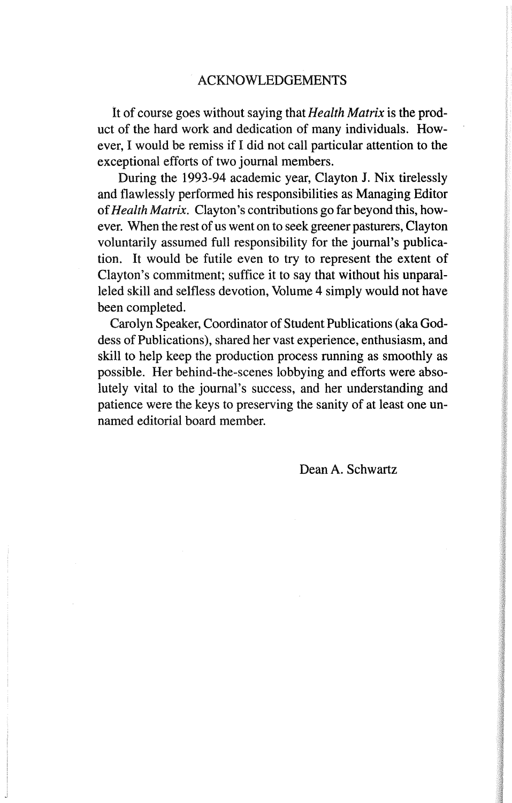It of course goes without saying that *Health Matrix* is the product of the hard work and dedication of many individuals. However, I would be remiss if I did not call particular attention to the exceptional efforts of two journal members.

During the 1993-94 academic year, Clayton J. Nix tirelessly and flawlessly performed his responsibilities as Managing Editor of *Health Matrix.* Clayton's contributions go far beyond this, however. When the rest of us went on to seek greener pasturers, Clayton voluntarily assumed full responsibility for the journal's publication. It would be futile even to try to represent the extent of Clayton's commitment; suffice it to say that without his unparalleled skill and selfless devotion, Volume 4 simply would not have been completed.

Carolyn Speaker, Coordinator of Student Publications (aka Goddess of Publications), shared her vast experience, enthusiasm, and skill to help keep the production process running as smoothly as possible. Her behind-the-scenes lobbying and efforts were absolutely vital to the journal's success, and her understanding and patience were the keys to preserving the sanity of at least one unnamed editorial board member.

Dean A. Schwartz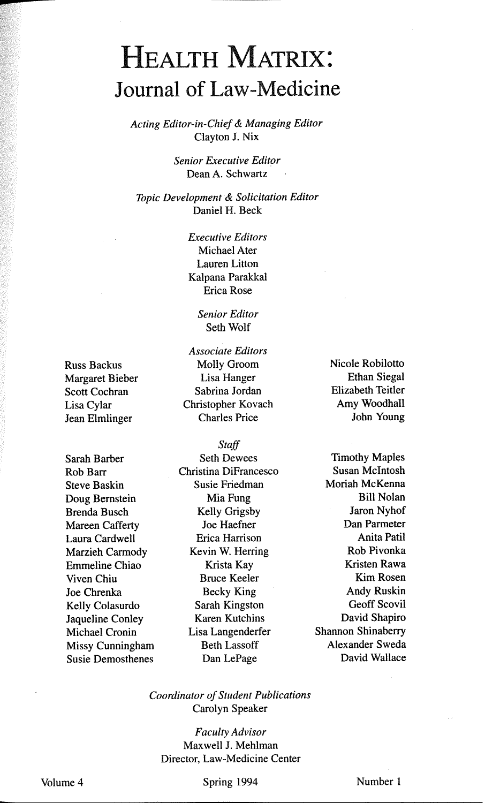## HEALTH MATRIX: Journal of Law-Medicine

*Acting Editor-in-Chief* & *Managing Editor*  Clayton J. Nix

> *Senior Executive Editor*  Dean A. Schwartz

*Topic Development* & *Solicitation Editor*  Daniel H. Beck

> *Executive Editors*  Michael Ater Lauren Litton Kalpana Parakkal Erica Rose

> > *Senior Editor*  Seth Wolf

Russ Backus Molly Groom Scott Cochran Jean Elmlinger

Sarah Barber Seth Dewees Steve Baskin Susie Friedman Doug Bernstein Mia Fung Brenda Busch Kelly Grigsby<br>
Mareen Cafferty Joe Haefner Mareen Cafferty Marzieh Carmody Emmeline Chiao Krista Kay Viven Chiu Bruce Keeler Joe Chrenka Becky King Kelly Colasurdo Sarah Kingston<br>Jaqueline Conley Karen Kutchins Jaqueline Conley Missy Cunningham Beth Lassoff Susie Demosthenes Dan LePage

*Associate Editors*  Margaret Bieber Lisa Hanger<br>Scott Cochran Sabrina Jordan Lisa Cylar Christopher Kovach

*Staff*  Rob Barr Christina DiFrancesco Laura Cardwell Erica Harrison Michael Cronin Lisa Langenderfer Shannon Shinaberry

Nicole Robilotto Ethan Siegal Elizabeth Teitler Amy Woodhall John Young

Timothy Maples Susan Mcintosh Moriah McKenna Bill Nolan Jaron Nyhof Dan Parmeter Anita Patil Rob Pivonka Kristen Rawa Kim Rosen Andy Ruskin Geoff Scovil David Shapiro Alexander Sweda David Wallace

*Coordinator of Student Publications*  Carolyn Speaker

*Faculty Advisor*  Maxwell J. Mehlman Director, Law-Medicine Center

Spring 1994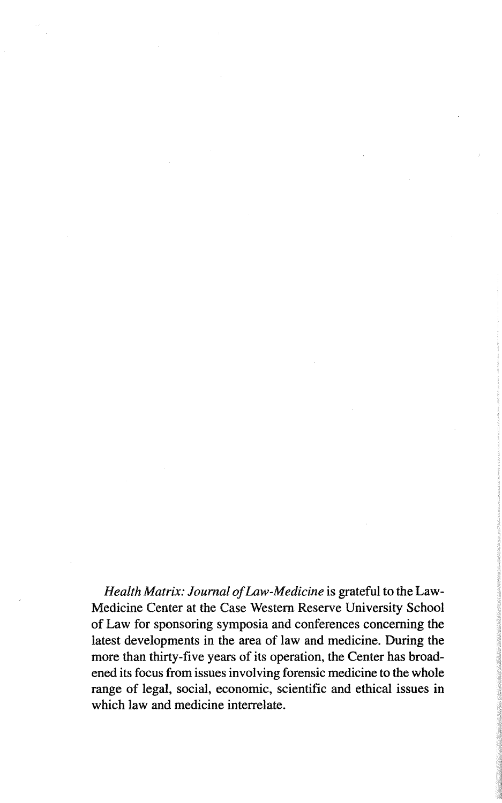*Health Matrix: Journal of Law-Medicine* is grateful to the Law-Medicine Center at the Case Western Reserve University School of Law for sponsoring symposia and conferences concerning the latest developments in the area of law and medicine. During the more than thirty-five years of its operation, the Center has broadened its focus from issues involving forensic medicine to the whole range of legal, social, economic, scientific and ethical issues in which law and medicine interrelate.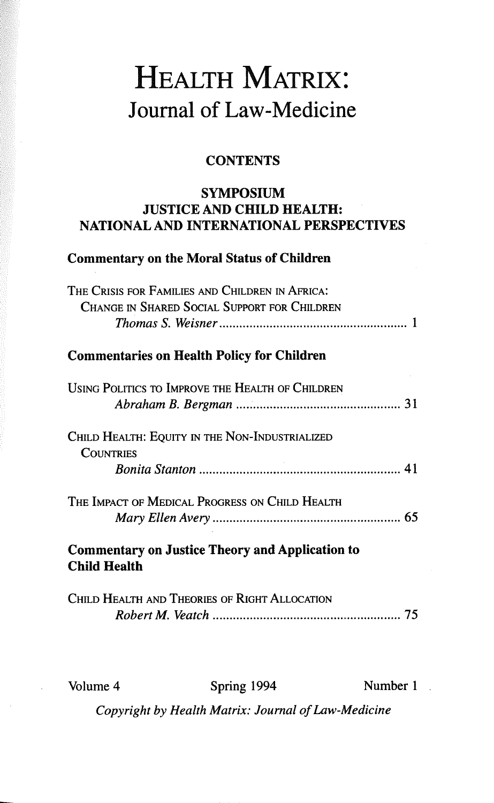# HEALTH MATRIX: Journal of Law-Medicine

### **CONTENTS**

#### SYMPOSIUM JUSTICE AND CHILD HEALTH: NATIONAL AND INTERNATIONAL PERSPECTIVES

### Commentary on the Moral Status of Children

| THE CRISIS FOR FAMILIES AND CHILDREN IN AFRICA:                               |
|-------------------------------------------------------------------------------|
| <b>CHANGE IN SHARED SOCIAL SUPPORT FOR CHILDREN</b>                           |
|                                                                               |
| <b>Commentaries on Health Policy for Children</b>                             |
| USING POLITICS TO IMPROVE THE HEALTH OF CHILDREN                              |
|                                                                               |
| CHILD HEALTH: EQUITY IN THE NON-INDUSTRIALIZED<br><b>COUNTRIES</b>            |
|                                                                               |
| THE IMPACT OF MEDICAL PROGRESS ON CHILD HEALTH                                |
|                                                                               |
| <b>Commentary on Justice Theory and Application to</b><br><b>Child Health</b> |
| CHILD HEALTH AND THEORIES OF RIGHT ALLOCATION                                 |
| 75.                                                                           |

Volume 4 Spring 1994 Number 1

*Copyright by Health Matrix: Journal of Law-Medicine*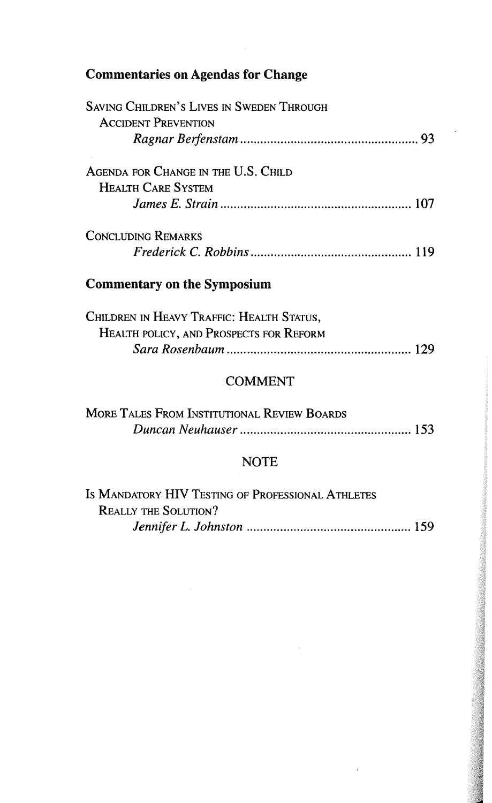### Commentaries on Agendas for Change

| <b>SAVING CHILDREN'S LIVES IN SWEDEN THROUGH</b> |  |
|--------------------------------------------------|--|
| <b>ACCIDENT PREVENTION</b>                       |  |
|                                                  |  |
| AGENDA FOR CHANGE IN THE U.S. CHILD              |  |
| <b>HEALTH CARE SYSTEM</b>                        |  |
|                                                  |  |
| <b>CONCLUDING REMARKS</b>                        |  |
|                                                  |  |
| <b>Commentary on the Symposium</b>               |  |
|                                                  |  |

| Children in Heavy Traffic: Health Status,      |  |
|------------------------------------------------|--|
| <b>HEALTH POLICY, AND PROSPECTS FOR REFORM</b> |  |
|                                                |  |

### COMMENT

| MORE TALES FROM INSTITUTIONAL REVIEW BOARDS |  |
|---------------------------------------------|--|
|                                             |  |

### NOTE

| IS MANDATORY HIV TESTING OF PROFESSIONAL ATHLETES |  |
|---------------------------------------------------|--|
| <b>REALLY THE SOLUTION?</b>                       |  |
|                                                   |  |